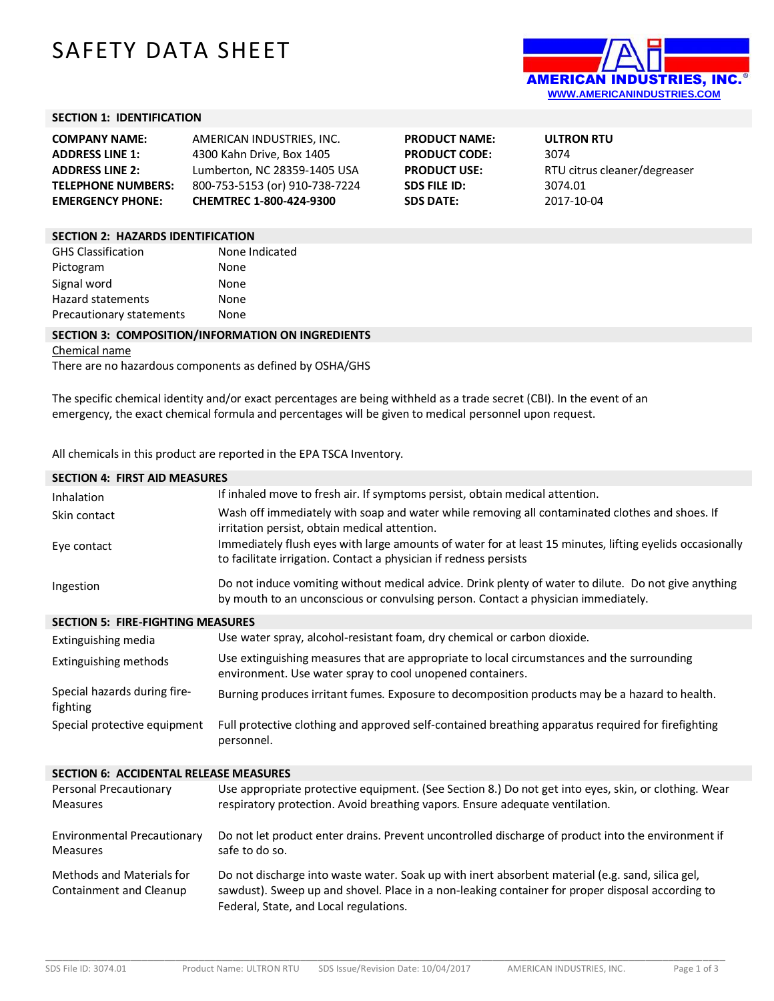# SAFETY DATA SHEET



## **SECTION 1: IDENTIFICATION**

| <b>COMPANY NAME:</b>      | AMERICAN INDUSTRIES. INC.      | <b>PRODUCT NAME:</b> | <b>ULTRON RTU</b>            |
|---------------------------|--------------------------------|----------------------|------------------------------|
| <b>ADDRESS LINE 1:</b>    | 4300 Kahn Drive, Box 1405      | <b>PRODUCT CODE:</b> | 3074                         |
| <b>ADDRESS LINE 2:</b>    | Lumberton, NC 28359-1405 USA   | <b>PRODUCT USE:</b>  | RTU citrus cleaner/degreaser |
| <b>TELEPHONE NUMBERS:</b> | 800-753-5153 (or) 910-738-7224 | <b>SDS FILE ID:</b>  | 3074.01                      |
| <b>EMERGENCY PHONE:</b>   | <b>CHEMTREC 1-800-424-9300</b> | <b>SDS DATE:</b>     | 2017-10-04                   |
|                           |                                |                      |                              |

## **SECTION 2: HAZARDS IDENTIFICATION**

| <b>GHS Classification</b> | None Indicated |
|---------------------------|----------------|
| Pictogram                 | None           |
| Signal word               | None           |
| <b>Hazard statements</b>  | None           |
| Precautionary statements  | None           |

#### **SECTION 3: COMPOSITION/INFORMATION ON INGREDIENTS**

Chemical name

There are no hazardous components as defined by OSHA/GHS

The specific chemical identity and/or exact percentages are being withheld as a trade secret (CBI). In the event of an emergency, the exact chemical formula and percentages will be given to medical personnel upon request.

All chemicals in this product are reported in the EPA TSCA Inventory.

| <b>SECTION 4: FIRST AID MEASURES</b>                  |                                                                                                                                                                                                                                                |  |  |  |
|-------------------------------------------------------|------------------------------------------------------------------------------------------------------------------------------------------------------------------------------------------------------------------------------------------------|--|--|--|
| Inhalation                                            | If inhaled move to fresh air. If symptoms persist, obtain medical attention.                                                                                                                                                                   |  |  |  |
| Skin contact                                          | Wash off immediately with soap and water while removing all contaminated clothes and shoes. If<br>irritation persist, obtain medical attention.                                                                                                |  |  |  |
| Eye contact                                           | Immediately flush eyes with large amounts of water for at least 15 minutes, lifting eyelids occasionally<br>to facilitate irrigation. Contact a physician if redness persists                                                                  |  |  |  |
| Ingestion                                             | Do not induce vomiting without medical advice. Drink plenty of water to dilute. Do not give anything<br>by mouth to an unconscious or convulsing person. Contact a physician immediately.                                                      |  |  |  |
| <b>SECTION 5: FIRE-FIGHTING MEASURES</b>              |                                                                                                                                                                                                                                                |  |  |  |
| Extinguishing media                                   | Use water spray, alcohol-resistant foam, dry chemical or carbon dioxide.                                                                                                                                                                       |  |  |  |
| Extinguishing methods                                 | Use extinguishing measures that are appropriate to local circumstances and the surrounding<br>environment. Use water spray to cool unopened containers.                                                                                        |  |  |  |
| Special hazards during fire-<br>fighting              | Burning produces irritant fumes. Exposure to decomposition products may be a hazard to health.                                                                                                                                                 |  |  |  |
| Special protective equipment                          | Full protective clothing and approved self-contained breathing apparatus required for firefighting<br>personnel.                                                                                                                               |  |  |  |
| <b>SECTION 6: ACCIDENTAL RELEASE MEASURES</b>         |                                                                                                                                                                                                                                                |  |  |  |
| Personal Precautionary<br><b>Measures</b>             | Use appropriate protective equipment. (See Section 8.) Do not get into eyes, skin, or clothing. Wear<br>respiratory protection. Avoid breathing vapors. Ensure adequate ventilation.                                                           |  |  |  |
| <b>Environmental Precautionary</b><br><b>Measures</b> | Do not let product enter drains. Prevent uncontrolled discharge of product into the environment if<br>safe to do so.                                                                                                                           |  |  |  |
| Methods and Materials for<br>Containment and Cleanup  | Do not discharge into waste water. Soak up with inert absorbent material (e.g. sand, silica gel,<br>sawdust). Sweep up and shovel. Place in a non-leaking container for proper disposal according to<br>Federal, State, and Local regulations. |  |  |  |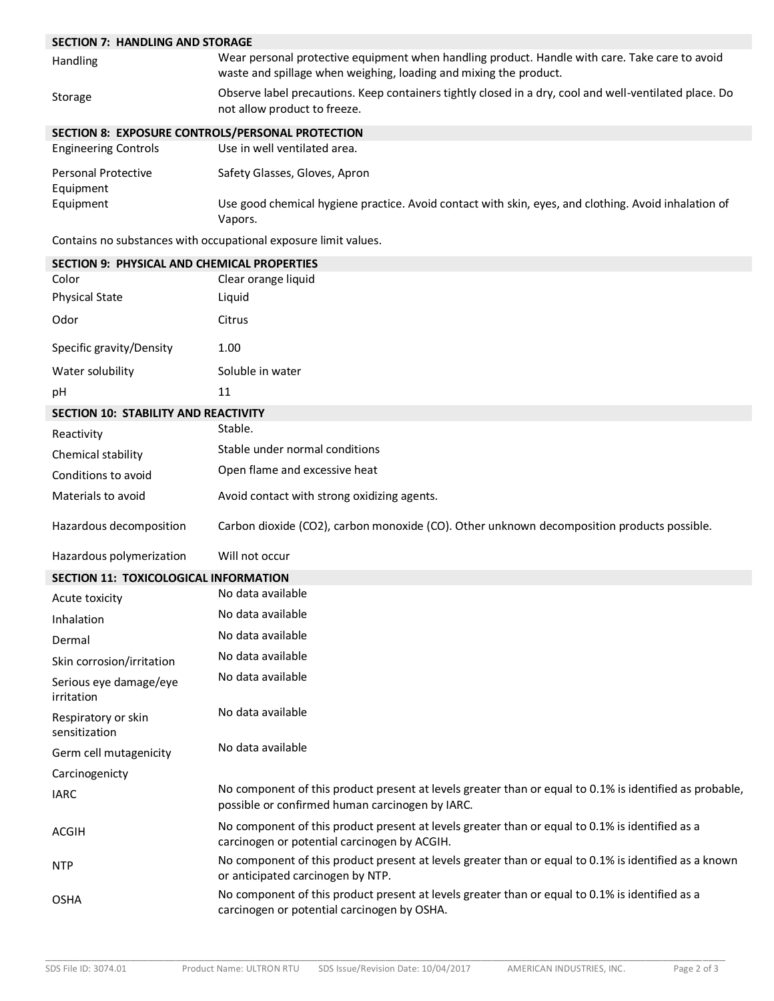| <b>SECTION 7: HANDLING AND STORAGE</b>             |                                                                                                                                                                     |
|----------------------------------------------------|---------------------------------------------------------------------------------------------------------------------------------------------------------------------|
| Handling                                           | Wear personal protective equipment when handling product. Handle with care. Take care to avoid<br>waste and spillage when weighing, loading and mixing the product. |
| Storage                                            | Observe label precautions. Keep containers tightly closed in a dry, cool and well-ventilated place. Do<br>not allow product to freeze.                              |
| SECTION 8: EXPOSURE CONTROLS/PERSONAL PROTECTION   |                                                                                                                                                                     |
| <b>Engineering Controls</b>                        | Use in well ventilated area.                                                                                                                                        |
| <b>Personal Protective</b>                         | Safety Glasses, Gloves, Apron                                                                                                                                       |
| Equipment<br>Equipment                             | Use good chemical hygiene practice. Avoid contact with skin, eyes, and clothing. Avoid inhalation of<br>Vapors.                                                     |
|                                                    | Contains no substances with occupational exposure limit values.                                                                                                     |
| <b>SECTION 9: PHYSICAL AND CHEMICAL PROPERTIES</b> |                                                                                                                                                                     |
| Color                                              | Clear orange liquid                                                                                                                                                 |
| <b>Physical State</b>                              | Liquid                                                                                                                                                              |
| Odor                                               | Citrus                                                                                                                                                              |
| Specific gravity/Density                           | 1.00                                                                                                                                                                |
| Water solubility                                   | Soluble in water                                                                                                                                                    |
| рH                                                 | 11                                                                                                                                                                  |
| <b>SECTION 10: STABILITY AND REACTIVITY</b>        |                                                                                                                                                                     |
| Reactivity                                         | Stable.                                                                                                                                                             |
| Chemical stability                                 | Stable under normal conditions                                                                                                                                      |
| Conditions to avoid                                | Open flame and excessive heat                                                                                                                                       |
| Materials to avoid                                 | Avoid contact with strong oxidizing agents.                                                                                                                         |
| Hazardous decomposition                            | Carbon dioxide (CO2), carbon monoxide (CO). Other unknown decomposition products possible.                                                                          |
| Hazardous polymerization                           | Will not occur                                                                                                                                                      |
| SECTION 11: TOXICOLOGICAL INFORMATION              |                                                                                                                                                                     |
| Acute toxicity                                     | No data available                                                                                                                                                   |
| Inhalation                                         | No data available                                                                                                                                                   |
| Dermal                                             | No data available                                                                                                                                                   |
| Skin corrosion/irritation                          | No data available                                                                                                                                                   |
| Serious eye damage/eye<br>irritation               | No data available                                                                                                                                                   |
| Respiratory or skin<br>sensitization               | No data available                                                                                                                                                   |
| Germ cell mutagenicity                             | No data available                                                                                                                                                   |
| Carcinogenicty                                     |                                                                                                                                                                     |
| <b>IARC</b>                                        | No component of this product present at levels greater than or equal to 0.1% is identified as probable,<br>possible or confirmed human carcinogen by IARC.          |
| ACGIH                                              | No component of this product present at levels greater than or equal to 0.1% is identified as a<br>carcinogen or potential carcinogen by ACGIH.                     |
| <b>NTP</b>                                         | No component of this product present at levels greater than or equal to 0.1% is identified as a known<br>or anticipated carcinogen by NTP.                          |
| <b>OSHA</b>                                        | No component of this product present at levels greater than or equal to 0.1% is identified as a<br>carcinogen or potential carcinogen by OSHA.                      |
|                                                    |                                                                                                                                                                     |